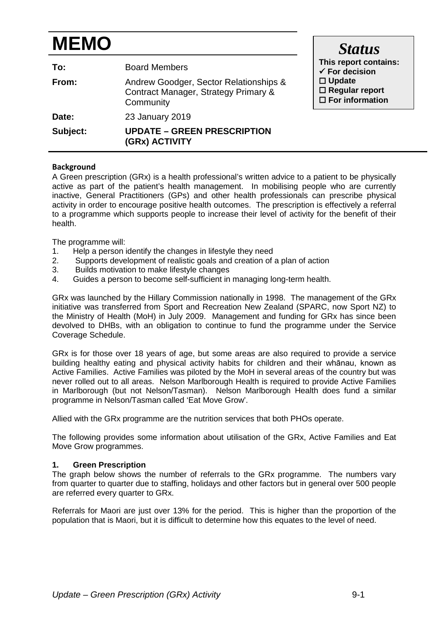# **MEMO**

| To:<br>From: | <b>Board Members</b><br>Andrew Goodger, Sector Relationships &<br>Contract Manager, Strategy Primary & | This report contains:<br>$\checkmark$ For decision<br>$\Box$ Update<br>$\Box$ Regular report |
|--------------|--------------------------------------------------------------------------------------------------------|----------------------------------------------------------------------------------------------|
|              | Community                                                                                              | $\Box$ For information                                                                       |
| Date:        | 23 January 2019                                                                                        |                                                                                              |
| Subject:     | <b>UPDATE - GREEN PRESCRIPTION</b><br>(GRx) ACTIVITY                                                   |                                                                                              |

# **Background**

A Green prescription (GRx) is a health professional's written advice to a patient to be physically active as part of the patient's health management. In mobilising people who are currently inactive, General Practitioners (GPs) and other health professionals can prescribe physical activity in order to encourage positive health outcomes. The prescription is effectively a referral to a programme which supports people to increase their level of activity for the benefit of their health.

The programme will:

- 1. Help a person identify the changes in lifestyle they need<br>2. Supports development of realistic goals and creation of
- Supports development of realistic goals and creation of a plan of action
- 3. Builds motivation to make lifestyle changes
- 4. Guides a person to become self-sufficient in managing long-term health.

GRx was launched by the Hillary Commission nationally in 1998. The management of the GRx initiative was transferred from Sport and Recreation New Zealand (SPARC, now Sport NZ) to the Ministry of Health (MoH) in July 2009. Management and funding for GRx has since been devolved to DHBs, with an obligation to continue to fund the programme under the Service Coverage Schedule.

GRx is for those over 18 years of age, but some areas are also required to provide a service building healthy eating and physical activity habits for children and their whānau, known as Active Families. Active Families was piloted by the MoH in several areas of the country but was never rolled out to all areas. Nelson Marlborough Health is required to provide Active Families in Marlborough (but not Nelson/Tasman). Nelson Marlborough Health does fund a similar programme in Nelson/Tasman called 'Eat Move Grow'.

Allied with the GRx programme are the nutrition services that both PHOs operate.

The following provides some information about utilisation of the GRx, Active Families and Eat Move Grow programmes.

### **1. Green Prescription**

The graph below shows the number of referrals to the GRx programme. The numbers vary from quarter to quarter due to staffing, holidays and other factors but in general over 500 people are referred every quarter to GRx.

Referrals for Maori are just over 13% for the period. This is higher than the proportion of the population that is Maori, but it is difficult to determine how this equates to the level of need.

*Status*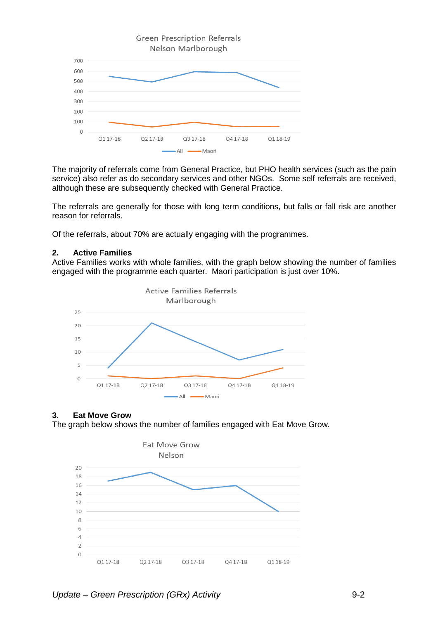

The majority of referrals come from General Practice, but PHO health services (such as the pain service) also refer as do secondary services and other NGOs. Some self referrals are received, although these are subsequently checked with General Practice.

The referrals are generally for those with long term conditions, but falls or fall risk are another reason for referrals.

Of the referrals, about 70% are actually engaging with the programmes.

#### **2. Active Families**

Active Families works with whole families, with the graph below showing the number of families engaged with the programme each quarter. Maori participation is just over 10%.



# **3. Eat Move Grow**

The graph below shows the number of families engaged with Eat Move Grow.